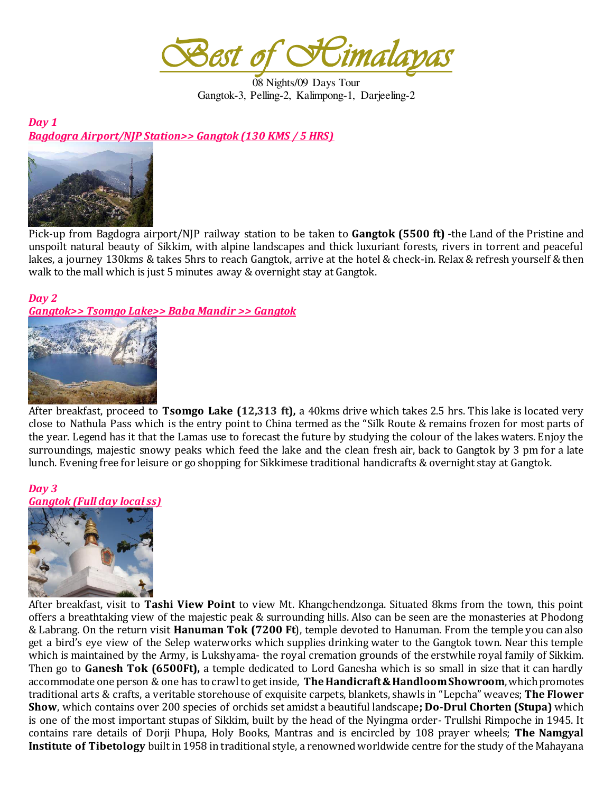*Best of Himalayas* 

08 Nights/09 Days Tour Gangtok-3, Pelling-2, Kalimpong-1, Darjeeling-2

*Day 1 Bagdogra Airport/NJP Station>> Gangtok (130 KMS / 5 HRS)* 



Pick-up from Bagdogra airport/NJP railway station to be taken to **Gangtok (5500 ft)** -the Land of the Pristine and unspoilt natural beauty of Sikkim, with alpine landscapes and thick luxuriant forests, rivers in torrent and peaceful lakes, a journey 130kms & takes 5hrs to reach Gangtok, arrive at the hotel & check-in. Relax & refresh yourself & then walk to the mall which is just 5 minutes away & overnight stay at Gangtok.

#### *Day 2 Gangtok>> Tsomgo Lake>> Baba Mandir >> Gangtok*



After breakfast, proceed to **Tsomgo Lake (12,313 ft),** a 40kms drive which takes 2.5 hrs. This lake is located very close to Nathula Pass which is the entry point to China termed as the "Silk Route & remains frozen for most parts of the year. Legend has it that the Lamas use to forecast the future by studying the colour of the lakes waters. Enjoy the surroundings, majestic snowy peaks which feed the lake and the clean fresh air, back to Gangtok by 3 pm for a late lunch. Evening free for leisure or go shopping for Sikkimese traditional handicrafts & overnight stay at Gangtok.

*Day 3 Gangtok (Full day local ss)* 



After breakfast, visit to **Tashi View Point** to view Mt. Khangchendzonga. Situated 8kms from the town, this point offers a breathtaking view of the majestic peak & surrounding hills. Also can be seen are the monasteries at Phodong & Labrang. On the return visit **Hanuman Tok (7200 Ft**), temple devoted to Hanuman. From the temple you can also get a bird's eye view of the Selep waterworks which supplies drinking water to the Gangtok town. Near this temple which is maintained by the Army, is Lukshyama- the royal cremation grounds of the erstwhile royal family of Sikkim. Then go to **Ganesh Tok (6500Ft),** a temple dedicated to Lord Ganesha which is so small in size that it can hardly accommodate one person & one has to crawl to get inside, **TheHandicraft & Handloom Showroom**, which promotes traditional arts & crafts, a veritable storehouse of exquisite carpets, blankets, shawls in "Lepcha" weaves; **The Flower Show**, which contains over 200 species of orchids set amidst a beautiful landscape**; Do-Drul Chorten (Stupa)** which is one of the most important stupas of Sikkim, built by the head of the Nyingma order- Trullshi Rimpoche in 1945. It contains rare details of Dorji Phupa, Holy Books, Mantras and is encircled by 108 prayer wheels; **The Namgyal Institute of Tibetology** built in 1958 in traditional style, a renowned worldwide centre for the study of the Mahayana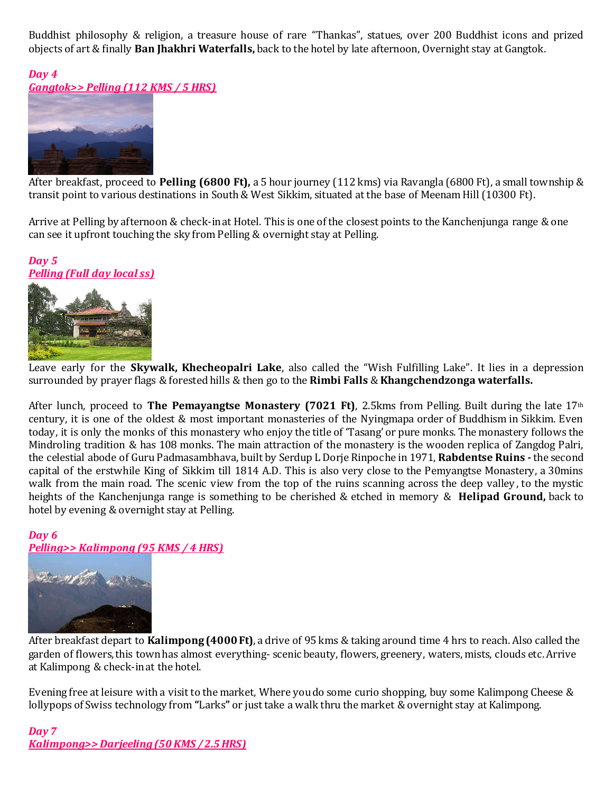Buddhist philosophy & religion, a treasure house of rare "Thankas", statues, over 200 Buddhist icons and prized objects of art & finally **Ban Jhakhri Waterfalls,** back to the hotel by late afternoon, Overnight stay at Gangtok.

*Day 4 Gangtok>> Pelling (112 KMS / 5 HRS)* 



After breakfast, proceed to **Pelling (6800 Ft),** a 5 hour journey (112 kms) via Ravangla (6800 Ft), a small township & transit point to various destinations in South & West Sikkim, situated at the base of Meenam Hill (10300 Ft).

Arrive at Pelling by afternoon & check-in at Hotel. This is one of the closest points to the Kanchenjunga range & one can see it upfront touching the sky from Pelling & overnight stay at Pelling.

#### *Day 5 Pelling (Full day local ss)*



Leave early for the **Skywalk, Khecheopalri Lake**, also called the "Wish Fulfilling Lake". It lies in a depression surrounded by prayer flags & forested hills & then go to the **Rimbi Falls** & **Khangchendzonga waterfalls.**

After lunch, proceed to **The Pemayangtse Monastery (7021 Ft)**, 2.5kms from Pelling. Built during the late 17th century, it is one of the oldest & most important monasteries of the Nyingmapa order of Buddhism in Sikkim. Even today, it is only the monks of this monastery who enjoy the title of 'Tasang' or pure monks. The monastery follows the Mindroling tradition & has 108 monks. The main attraction of the monastery is the wooden replica of Zangdog Palri, the celestial abode of Guru Padmasambhava, built by Serdup L Dorje Rinpoche in 1971, **Rabdentse Ruins -** the second capital of the erstwhile King of Sikkim till 1814 A.D. This is also very close to the Pemyangtse Monastery, a 30mins walk from the main road. The scenic view from the top of the ruins scanning across the deep valley , to the mystic heights of the Kanchenjunga range is something to be cherished & etched in memory & **Helipad Ground,** back to hotel by evening & overnight stay at Pelling.

## *Day 6 Pelling>> Kalimpong (95 KMS / 4 HRS)*



After breakfast depart to **Kalimpong (4000 Ft)**, a drive of 95 kms & taking around time 4 hrs to reach. Also called the garden of flowers, this town has almost everything- scenic beauty, flowers, greenery, waters, mists, clouds etc. Arrive at Kalimpong & check-in at the hotel.

Evening free at leisure with a visit to the market, Where you do some curio shopping, buy some Kalimpong Cheese & lollypops of Swiss technology from **"**Larks**"** or just take a walk thru the market & overnight stay at Kalimpong.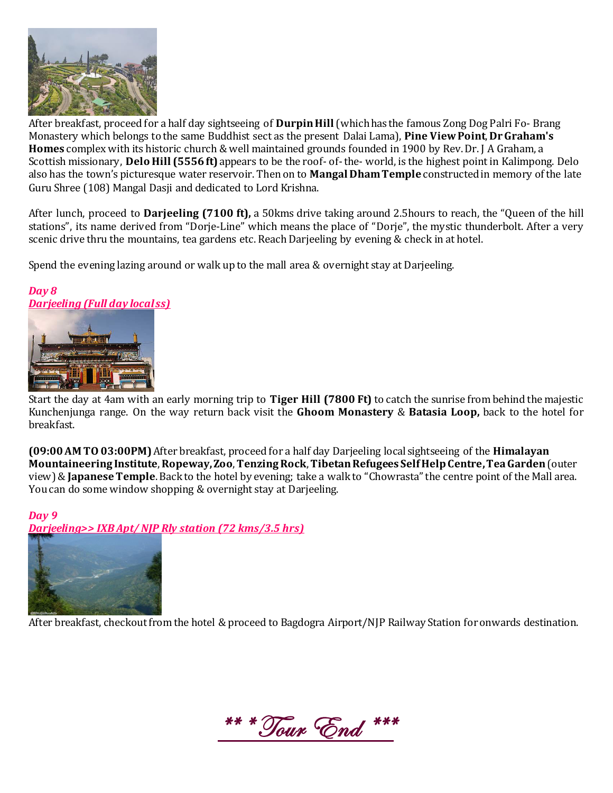

After breakfast, proceed for a half day sightseeing of **Durpin Hill** (which has the famous Zong Dog Palri Fo- Brang Monastery which belongs to the same Buddhist sect as the present Dalai Lama), **Pine View Point**, **Dr Graham's Homes** complex with its historic church & well maintained grounds founded in 1900 by Rev. Dr. J A Graham, a Scottish missionary, **Delo Hill (5556 ft)** appears to be the roof- of- the- world, is the highest point in Kalimpong. Delo also has the town's picturesque water reservoir. Then on to **Mangal Dham Temple** constructed in memory of the late Guru Shree (108) Mangal Dasji and dedicated to Lord Krishna.

After lunch, proceed to **Darjeeling (7100 ft),** a 50kms drive taking around 2.5hours to reach, the "Queen of the hill stations", its name derived from "Dorje-Line" which means the place of "Dorje", the mystic thunderbolt. After a very scenic drive thru the mountains, tea gardens etc. Reach Darjeeling by evening & check in at hotel.

Spend the evening lazing around or walk up to the mall area & overnight stay at Darjeeling.

## *Day 8 Darjeeling (Full day local ss)*



Start the day at 4am with an early morning trip to **Tiger Hill (7800 Ft)** to catch the sunrise from behind the majestic Kunchenjunga range. On the way return back visit the **Ghoom Monastery** & **Batasia Loop,** back to the hotel for breakfast.

**(09:00 AM TO 03:00PM)** After breakfast, proceed for a half day Darjeeling local sightseeing of the **Himalayan Mountaineering Institute**, **Ropeway,Zoo**, **Tenzing Rock**, **Tibetan Refugees Self Help Centre, Tea Garden** (outer view)& **Japanese Temple**. Back to the hotel by evening; take a walk to "Chowrasta" the centre point of the Mall area. You can do some window shopping & overnight stay at Darjeeling.

# *Day 9*

*Darjeeling>> IXB Apt/ NJP Rly station (72 kms/3.5 hrs)* 



After breakfast, checkout from the hotel & proceed to Bagdogra Airport/NJP Railway Station for onwards destination.

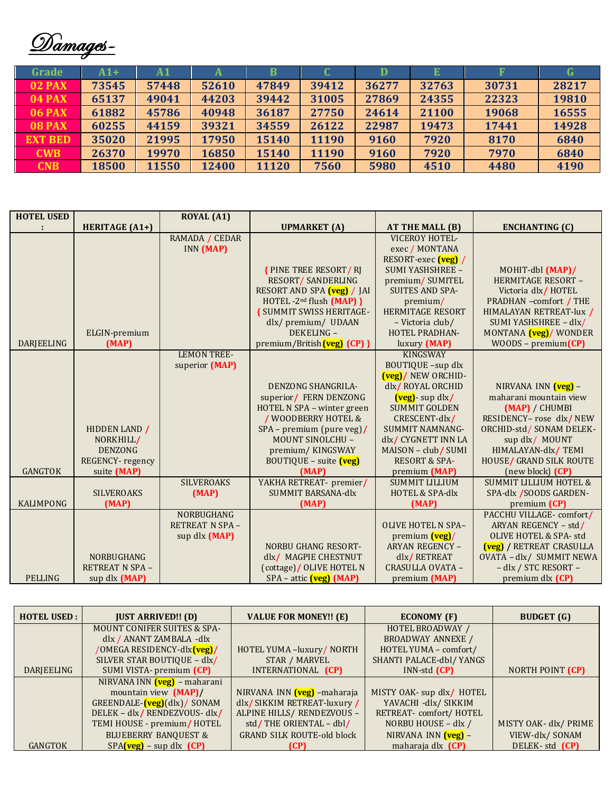Damages-

| Grade          | A1+   | Α1    |       | B     |       | D     | Е     |       |       |
|----------------|-------|-------|-------|-------|-------|-------|-------|-------|-------|
| <b>02 PAX</b>  | 73545 | 57448 | 52610 | 47849 | 39412 | 36277 | 32763 | 30731 | 28217 |
| <b>04 PAX</b>  | 65137 | 49041 | 44203 | 39442 | 31005 | 27869 | 24355 | 22323 | 19810 |
| <b>06 PAX</b>  | 61882 | 45786 | 40948 | 36187 | 27750 | 24614 | 21100 | 19068 | 16555 |
| <b>08 PAX</b>  | 60255 | 44159 | 39321 | 34559 | 26122 | 22987 | 19473 | 17441 | 14928 |
| <b>EXT BED</b> | 35020 | 21995 | 17950 | 15140 | 11190 | 9160  | 7920  | 8170  | 6840  |
| <b>CWB</b>     | 26370 | 19970 | 16850 | 15140 | 11190 | 9160  | 7920  | 7970  | 6840  |
| <b>CNB</b>     | 18500 | 11550 | 12400 | 11120 | 7560  | 5980  | 4510  | 4480  | 4190  |

| <b>HOTEL USED</b> |                       | <b>ROYAL</b> (A1)      |                                     |                            |                                   |
|-------------------|-----------------------|------------------------|-------------------------------------|----------------------------|-----------------------------------|
|                   | <b>HERITAGE (A1+)</b> |                        | <b>UPMARKET</b> (A)                 | AT THE MALL (B)            | <b>ENCHANTING (C)</b>             |
|                   |                       | RAMADA / CEDAR         |                                     | <b>VICEROY HOTEL-</b>      |                                   |
|                   |                       | INN (MAP)              |                                     | exec / MONTANA             |                                   |
|                   |                       |                        |                                     | RESORT-exec (veg) /        |                                   |
|                   |                       |                        | <b>{PINE TREE RESORT/RJ</b>         | SUMI YASHSHREE -           | MOHIT-dbl (MAP)/                  |
|                   |                       |                        | <b>RESORT/ SANDERLING</b>           | premium/SUMITEL            | HERMITAGE RESORT -                |
|                   |                       |                        | RESORT AND SPA (veg) / JAI          | <b>SUITES AND SPA-</b>     | Victoria dlx/HOTEL                |
|                   |                       |                        | HOTEL-2 <sup>nd</sup> flush (MAP) } | premium/                   | PRADHAN -comfort / THE            |
|                   |                       |                        | <b>{ SUMMIT SWISS HERITAGE-</b>     | <b>HERMITAGE RESORT</b>    | HIMALAYAN RETREAT-lux /           |
|                   |                       |                        | dlx/premium/ UDAAN                  | - Victoria club/           | SUMI YASHSHREE - dlx/             |
|                   | ELGIN-premium         |                        | DEKELING -                          | <b>HOTEL PRADHAN-</b>      | MONTANA <i>(veg)</i> / WONDER     |
| DARJEELING        | (MAP)                 |                        | premium/British (veg) (CP) }        | luxury (MAP)               | $WOODS - premium(CP)$             |
|                   |                       | <b>LEMON TREE-</b>     |                                     | <b>KINGSWAY</b>            |                                   |
|                   |                       | superior (MAP)         |                                     | BOUTIQUE -sup dlx          |                                   |
|                   |                       |                        |                                     | <b>(veg)</b> / NEW ORCHID- |                                   |
|                   |                       |                        | <b>DENZONG SHANGRILA-</b>           | dlx/ROYAL ORCHID           | NIRVANA INN <b>(veg)</b> –        |
|                   |                       |                        | superior/ FERN DENZONG              | (veg) - sup dlx/           | maharani mountain view            |
|                   |                       |                        | HOTEL N SPA – winter green          | <b>SUMMIT GOLDEN</b>       | (MAP) / CHUMBI                    |
|                   |                       |                        | / WOODBERRY HOTEL &                 | CRESCENT-dlx/              | RESIDENCY- rose dlx/NEW           |
|                   | HIDDEN LAND /         |                        | $SPA - premium (pure veg)$          | <b>SUMMIT NAMNANG-</b>     | ORCHID-std / SONAM DELEK-         |
|                   | NORKHILL/             |                        | <b>MOUNT SINOLCHU -</b>             | dlx/ CYGNETT INN LA        | sup dlx/ MOUNT                    |
|                   | <b>DENZONG</b>        |                        | premium/KINGSWAY                    | MAISON - club/SUMI         | HIMALAYAN-dlx/TEMI                |
|                   | REGENCY-regency       |                        | $BOUTIQUE - suite$ (veg)            | <b>RESORT &amp; SPA-</b>   | HOUSE/ GRAND SILK ROUTE           |
| <b>GANGTOK</b>    | suite (MAP)           |                        | (MAP)                               | premium (MAP)              | (new block) (CP)                  |
|                   |                       | <b>SILVEROAKS</b>      | YAKHA RETREAT- premier/             | <b>SUMMIT LILLIUM</b>      | <b>SUMMIT LILLIUM HOTEL &amp;</b> |
|                   | <b>SILVEROAKS</b>     | (MAP)                  | <b>SUMMIT BARSANA-dlx</b>           | <b>HOTEL &amp; SPA-dlx</b> | SPA-dlx /SOODS GARDEN-            |
| <b>KALIMPONG</b>  | (MAP)                 |                        | (MAP)                               | (MAP)                      | premium (CP)                      |
|                   |                       | NORBUGHANG             |                                     |                            | PACCHU VILLAGE-comfort/           |
|                   |                       | <b>RETREAT N SPA -</b> |                                     | <b>OLIVE HOTEL N SPA-</b>  | ARYAN REGENCY - std/              |
|                   |                       | sup dlx (MAP)          |                                     | premium (veg)/             | <b>OLIVE HOTEL &amp; SPA- std</b> |
|                   |                       |                        | <b>NORBU GHANG RESORT-</b>          | <b>ARYAN REGENCY -</b>     | <b>(veg)</b> / RETREAT CRASULLA   |
|                   | NORBUGHANG            |                        | dlx/ MAGPIE CHESTNUT                | dlx/RETREAT                | OVATA - dlx/ SUMMIT NEWA          |
|                   | <b>RETREAT N SPA-</b> |                        | (cottage) / OLIVE HOTEL N           | CRASULLA OVATA -           | - dlx / STC RESORT -              |
| <b>PELLING</b>    | sup dlx (MAP)         |                        | $SPA - \text{attic}$ (veg) (MAP)    | premium (MAP)              | premium dlx (CP)                  |

| <b>HOTEL USED:</b> | <b>JUST ARRIVED!! (D)</b>                 | <b>VALUE FOR MONEY!! (E)</b>      | <b>ECONOMY (F)</b>        | <b>BUDGET</b> (G)     |
|--------------------|-------------------------------------------|-----------------------------------|---------------------------|-----------------------|
|                    | <b>MOUNT CONIFER SUITES &amp; SPA-</b>    |                                   | HOTEL BROADWAY /          |                       |
|                    | dlx / ANANT ZAMBALA -dlx                  |                                   | <b>BROADWAY ANNEXE /</b>  |                       |
|                    | /OMEGA RESIDENCY-dlx <mark>(veg)/</mark>  | HOTEL YUMA -luxury/ NORTH         | HOTEL YUMA - comfort/     |                       |
|                    | SILVER STAR BOUTIQUE - dlx/               | STAR / MARVEL                     | SHANTI PALACE-dbl/ YANGS  |                       |
| DARJEELING         | SUMI VISTA- premium (CP)                  | INTERNATIONAL (CP)                | $INN$ -std $(CP)$         | NORTH POINT (CP)      |
|                    | NIRVANA INN (veg) – maharani              |                                   |                           |                       |
|                    | mountain view (MAP)/                      | NIRVANA INN (veg) -maharaja       | MISTY OAK- sup dlx/ HOTEL |                       |
|                    | GREENDALE- $(\text{veg})$ $(dlx)$ / SONAM | dlx/SIKKIM RETREAT-luxury/        | YAVACHI -dlx/ SIKKIM      |                       |
|                    | DELEK - dlx/RENDEZVOUS- dlx/              | ALPINE HILLS/ RENDEZVOUS -        | RETREAT- comfort/HOTEL    |                       |
|                    | TEMI HOUSE - premium/HOTEL                | std/THE ORIENTAL - dbl/           | NORBU HOUSE - dlx /       | MISTY OAK- dlx/ PRIME |
|                    | <b>BLUEBERRY BANQUEST &amp;</b>           | <b>GRAND SILK ROUTE-old block</b> | NIRVANA INN (veg) -       | VIEW-dlx/SONAM        |
| <b>GANGTOK</b>     | $SPA$ (veg) – sup dlx (CP)                | (CP)                              | maharaja dlx (CP)         | DELEK-std (CP)        |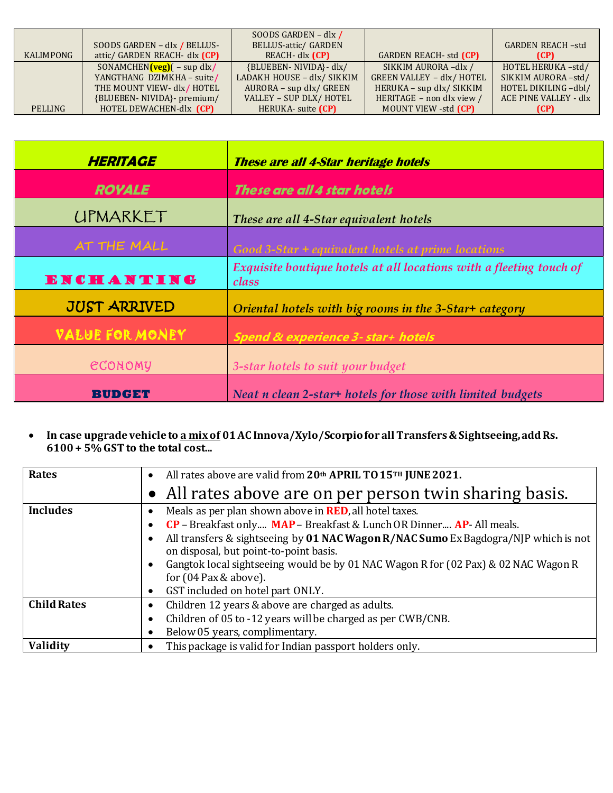|           |                                        | SOODS GARDEN - dlx /       |                                  |                         |
|-----------|----------------------------------------|----------------------------|----------------------------------|-------------------------|
|           | SOODS GARDEN - dlx / BELLUS-           | BELLUS-attic/ GARDEN       |                                  | <b>GARDEN REACH-std</b> |
| KALIMPONG | attic/ GARDEN REACH- dlx (CP)          | REACH- dlx (CP)            | <b>GARDEN REACH- std (CP)</b>    | (CP)                    |
|           | SONAMCHEN $(\text{veg})$ $(-$ sup dlx/ | {BLUEBEN- NIVIDA}- dlx/    | SIKKIM AURORA-dlx /              | HOTEL HERUKA-std/       |
|           | YANGTHANG DZIMKHA - suite/             | LADAKH HOUSE - dlx/ SIKKIM | <b>GREEN VALLEY - dlx/ HOTEL</b> | SIKKIM AURORA-std/      |
|           | THE MOUNT VIEW- dlx/HOTEL              | AURORA – sup dlx/ GREEN    | HERUKA - sup dlx/ SIKKIM         | HOTEL DIKILING -dbl/    |
|           | {BLUEBEN- NIVIDA}- premium/            | VALLEY - SUP DLX/ HOTEL    | HERITAGE - non dlx view /        | ACE PINE VALLEY - dlx   |
| PELLING   | HOTEL DEWACHEN-dlx (CP)                | HERUKA- suite (CP)         | MOUNT VIEW -std (CP)             | (CP)                    |

| <b>HERITAGE</b>        | <b>These are all 4-Star heritage hotels</b>                                  |  |
|------------------------|------------------------------------------------------------------------------|--|
| <b>ROYALE</b>          | These are all 4 star hotels                                                  |  |
| <b>UPMARKET</b>        | These are all 4-Star equivalent hotels                                       |  |
| <b>AT THE MALL</b>     | Good 3-Star + equivalent hotels at prime locations                           |  |
| <b>ENCHANTING</b>      | Exquisite boutique hotels at all locations with a fleeting touch of<br>class |  |
| <b>JUST ARRIVED</b>    | Oriental hotels with big rooms in the 3-Star+ category                       |  |
| <b>VALUE FOR MONEY</b> | <b>Spend &amp; experience 3- star+ hotels</b>                                |  |
| <b>ECONOMY</b>         | 3-star hotels to suit your budget                                            |  |
| вини ж                 | Neat n clean 2-star+ hotels for those with limited budgets                   |  |

 **In case upgrade vehicle to a mix of 01 AC Innova/Xylo/Scorpio for all Transfers & Sightseeing, add Rs. 6100 + 5% GST to the total cost...** 

| <b>Rates</b>       | All rates above are valid from 20th APRIL TO 15TH JUNE 2021.<br>$\bullet$                                                                                                                                                                                                                                                                                                                                               |
|--------------------|-------------------------------------------------------------------------------------------------------------------------------------------------------------------------------------------------------------------------------------------------------------------------------------------------------------------------------------------------------------------------------------------------------------------------|
|                    | All rates above are on per person twin sharing basis.                                                                                                                                                                                                                                                                                                                                                                   |
| <b>Includes</b>    | Meals as per plan shown above in <b>RED</b> , all hotel taxes.<br>٠<br>$CP$ – Breakfast only MAP – Breakfast & Lunch OR Dinner AP- All meals.<br>٠<br>All transfers & sightseeing by 01 NAC Wagon R/NAC Sumo Ex Bagdogra/NJP which is not<br>$\epsilon$<br>on disposal, but point-to-point basis.<br>Gangtok local sightseeing would be by 01 NAC Wagon R for (02 Pax) & 02 NAC Wagon R<br>٠<br>for $(04$ Pax & above). |
|                    | GST included on hotel part ONLY.<br>٠                                                                                                                                                                                                                                                                                                                                                                                   |
| <b>Child Rates</b> | Children 12 years & above are charged as adults.<br>٠                                                                                                                                                                                                                                                                                                                                                                   |
|                    | Children of 05 to -12 years will be charged as per CWB/CNB.<br>٠                                                                                                                                                                                                                                                                                                                                                        |
|                    | Below 05 years, complimentary.                                                                                                                                                                                                                                                                                                                                                                                          |
| Validity           | This package is valid for Indian passport holders only.                                                                                                                                                                                                                                                                                                                                                                 |